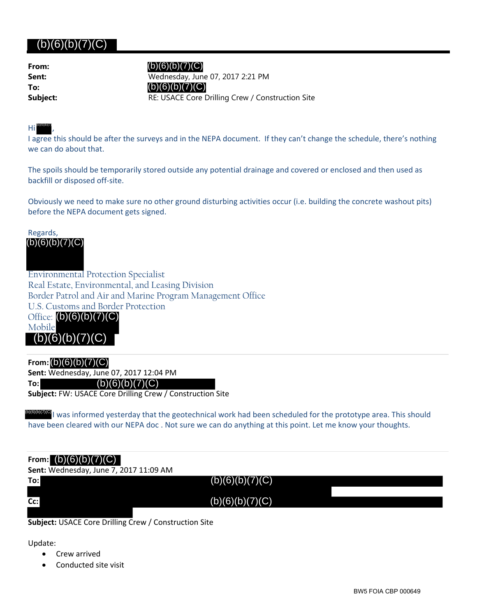# (b)(6)(b)(7)(C)

| From:    |
|----------|
| Sent:    |
| To:      |
| Subject: |

(b)(6)(b)(7)(C)

**Sent:** Wednesday, June 07, 2017 2:21 PM RE: USACE Core Drilling Crew / Construction Site  $(b)(6)(b)(7)(C)$ 

#### Hi , (b)(6)(b)(7)

I agree this should be after the surveys and in the NEPA document. If they can't change the schedule, there's nothing we can do about that.

The spoils should be temporarily stored outside any potential drainage and covered or enclosed and then used as backfill or disposed off‐site.

Obviously we need to make sure no other ground disturbing activities occur (i.e. building the concrete washout pits) before the NEPA document gets signed.

Regards, (b)(6)(b)(7)(C)

Environmental Protection Specialist Real Estate, Environmental, and Leasing Division Border Patrol and Air and Marine Program Management Office U.S. Customs and Border Protection Office: (b)(6)(b)(7)(C) Mobile

**From:** (b)(6)(b)(7)(C)

 $(b)(6)(b)(7)$ 

**Sent:** Wednesday, June 07, 2017 12:04 PM

**To:** (b)(6)(b)(7)(C)

**Subject:** FW: USACE Core Drilling Crew / Construction Site

(b)(6)(b)(7)(C)<sub>I</sub> was informed yesterday that the geotechnical work had been scheduled for the prototype area. This should have been cleared with our NEPA doc . Not sure we can do anything at this point. Let me know your thoughts.

### **From:** (b)(6)(b)(7)(C)

**Sent:** Wednesday, June 7, 2017 11:09 AM

 $(b)(6)(b)(7)(C)$  $(b)(6)(b)(7)(C)$ 

**Subject:** USACE Core Drilling Crew / Construction Site

Update:

**To:**

**Cc:**

- Crew arrived
- Conducted site visit